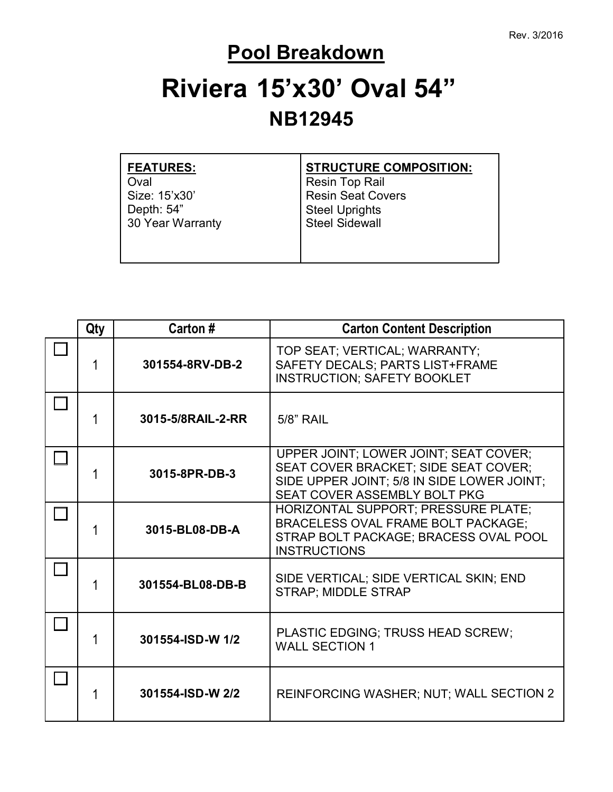#### **Pool Breakdown**

# **Riviera 15'x30' Oval 54" NB12945**

| <b>FEATURES:</b> | <b>STRUCTURE COMPOSITION:</b> |
|------------------|-------------------------------|
| Oval             | <b>Resin Top Rail</b>         |
| Size: 15'x30'    | <b>Resin Seat Covers</b>      |
| Depth: 54"       | <b>Steel Uprights</b>         |
| 30 Year Warranty | <b>Steel Sidewall</b>         |
|                  |                               |

| Qty | Carton #          | <b>Carton Content Description</b>                                                                                                                           |
|-----|-------------------|-------------------------------------------------------------------------------------------------------------------------------------------------------------|
| 1   | 301554-8RV-DB-2   | TOP SEAT; VERTICAL; WARRANTY;<br>SAFETY DECALS; PARTS LIST+FRAME<br><b>INSTRUCTION; SAFETY BOOKLET</b>                                                      |
|     | 3015-5/8RAIL-2-RR | <b>5/8" RAIL</b>                                                                                                                                            |
| 1   | 3015-8PR-DB-3     | UPPER JOINT; LOWER JOINT; SEAT COVER;<br>SEAT COVER BRACKET; SIDE SEAT COVER;<br>SIDE UPPER JOINT; 5/8 IN SIDE LOWER JOINT;<br>SEAT COVER ASSEMBLY BOLT PKG |
|     | 3015-BL08-DB-A    | HORIZONTAL SUPPORT; PRESSURE PLATE;<br><b>BRACELESS OVAL FRAME BOLT PACKAGE;</b><br>STRAP BOLT PACKAGE; BRACESS OVAL POOL<br><b>INSTRUCTIONS</b>            |
|     | 301554-BL08-DB-B  | SIDE VERTICAL; SIDE VERTICAL SKIN; END<br><b>STRAP; MIDDLE STRAP</b>                                                                                        |
|     | 301554-ISD-W 1/2  | PLASTIC EDGING; TRUSS HEAD SCREW;<br><b>WALL SECTION 1</b>                                                                                                  |
|     | 301554-ISD-W 2/2  | REINFORCING WASHER; NUT; WALL SECTION 2                                                                                                                     |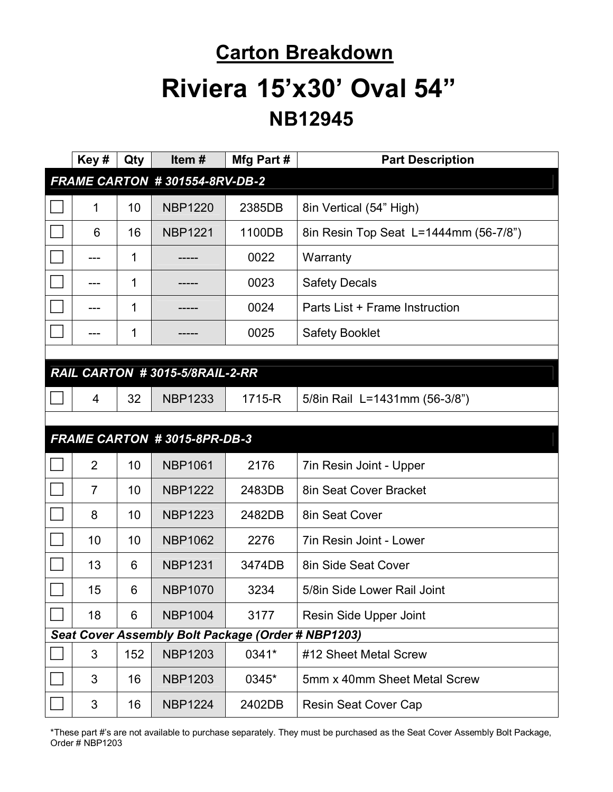# **Carton Breakdown Riviera 15'x30' Oval 54" NB12945**

|                                                    | Key#           | Qty         | Item#                          | Mfg Part # | <b>Part Description</b>               |
|----------------------------------------------------|----------------|-------------|--------------------------------|------------|---------------------------------------|
|                                                    |                |             | FRAME CARTON #301554-8RV-DB-2  |            |                                       |
|                                                    | 1              | 10          | <b>NBP1220</b>                 | 2385DB     | 8in Vertical (54" High)               |
|                                                    | 6              | 16          | <b>NBP1221</b>                 | 1100DB     | 8in Resin Top Seat L=1444mm (56-7/8") |
|                                                    |                | 1           |                                | 0022       | Warranty                              |
|                                                    | ---            | $\mathbf 1$ |                                | 0023       | <b>Safety Decals</b>                  |
|                                                    |                | $\mathbf 1$ |                                | 0024       | Parts List + Frame Instruction        |
|                                                    |                | 1           |                                | 0025       | <b>Safety Booklet</b>                 |
|                                                    |                |             |                                |            |                                       |
|                                                    |                |             | RAIL CARTON #3015-5/8RAIL-2-RR |            |                                       |
|                                                    | 4              | 32          | <b>NBP1233</b>                 | 1715-R     | 5/8in Rail L=1431mm (56-3/8")         |
|                                                    |                |             |                                |            |                                       |
|                                                    |                |             | FRAME CARTON #3015-8PR-DB-3    |            |                                       |
|                                                    | $\overline{2}$ | 10          | <b>NBP1061</b>                 | 2176       | 7in Resin Joint - Upper               |
|                                                    | $\overline{7}$ | 10          | <b>NBP1222</b>                 | 2483DB     | 8in Seat Cover Bracket                |
|                                                    | 8              | 10          | <b>NBP1223</b>                 | 2482DB     | 8in Seat Cover                        |
|                                                    | 10             | 10          | <b>NBP1062</b>                 | 2276       | 7in Resin Joint - Lower               |
|                                                    | 13             | 6           | <b>NBP1231</b>                 | 3474DB     | 8in Side Seat Cover                   |
|                                                    | 15             | 6           | <b>NBP1070</b>                 | 3234       | 5/8in Side Lower Rail Joint           |
|                                                    | 18             | 6           | <b>NBP1004</b>                 | 3177       | Resin Side Upper Joint                |
| Seat Cover Assembly Bolt Package (Order # NBP1203) |                |             |                                |            |                                       |
|                                                    | 3              | 152         | <b>NBP1203</b>                 | 0341*      | #12 Sheet Metal Screw                 |
|                                                    | 3              | 16          | <b>NBP1203</b>                 | 0345*      | 5mm x 40mm Sheet Metal Screw          |
|                                                    | 3              | 16          | <b>NBP1224</b>                 | 2402DB     | <b>Resin Seat Cover Cap</b>           |

\*These part #'s are not available to purchase separately. They must be purchased as the Seat Cover Assembly Bolt Package, Order # NBP1203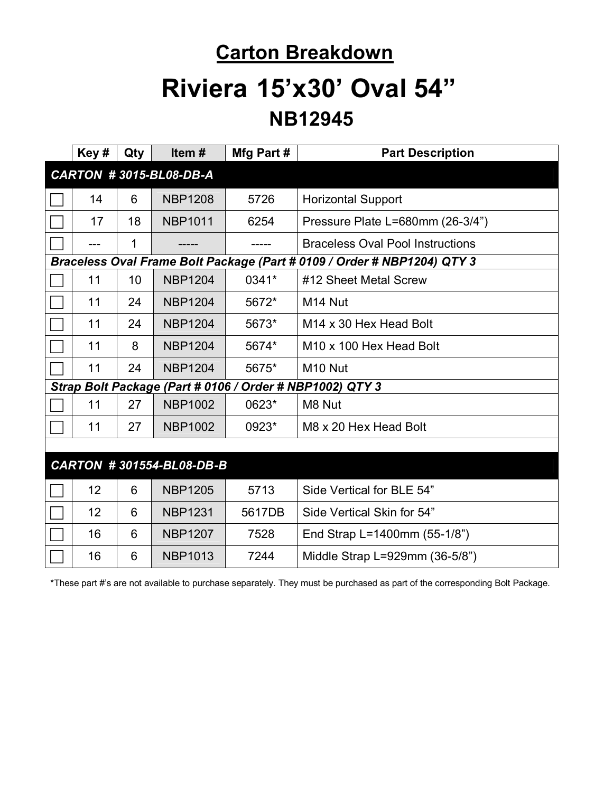#### **Carton Breakdown**

## **Riviera 15'x30' Oval 54" NB12945**

|                          | Key#                          | Qty | Item $#$       | Mfg Part # | <b>Part Description</b>                                                 |  |
|--------------------------|-------------------------------|-----|----------------|------------|-------------------------------------------------------------------------|--|
|                          | <b>CARTON #3015-BL08-DB-A</b> |     |                |            |                                                                         |  |
|                          | 14                            | 6   | <b>NBP1208</b> | 5726       | <b>Horizontal Support</b>                                               |  |
|                          | 17                            | 18  | <b>NBP1011</b> | 6254       | Pressure Plate L=680mm (26-3/4")                                        |  |
|                          |                               | 1   |                |            | <b>Braceless Oval Pool Instructions</b>                                 |  |
|                          |                               |     |                |            | Braceless Oval Frame Bolt Package (Part # 0109 / Order # NBP1204) QTY 3 |  |
|                          | 11                            | 10  | <b>NBP1204</b> | 0341*      | #12 Sheet Metal Screw                                                   |  |
|                          | 11                            | 24  | <b>NBP1204</b> | 5672*      | M <sub>14</sub> Nut                                                     |  |
|                          | 11                            | 24  | <b>NBP1204</b> | 5673*      | M <sub>14</sub> x 30 Hex Head Bolt                                      |  |
|                          | 11                            | 8   | <b>NBP1204</b> | 5674*      | M <sub>10</sub> x 100 Hex Head Bolt                                     |  |
|                          | 11                            | 24  | <b>NBP1204</b> | 5675*      | M <sub>10</sub> Nut                                                     |  |
|                          |                               |     |                |            | Strap Bolt Package (Part # 0106 / Order # NBP1002) QTY 3                |  |
|                          | 11                            | 27  | <b>NBP1002</b> | 0623*      | M8 Nut                                                                  |  |
|                          | 11                            | 27  | <b>NBP1002</b> | 0923*      | M8 x 20 Hex Head Bolt                                                   |  |
|                          |                               |     |                |            |                                                                         |  |
| CARTON #301554-BL08-DB-B |                               |     |                |            |                                                                         |  |
|                          | 12                            | 6   | <b>NBP1205</b> | 5713       | Side Vertical for BLE 54"                                               |  |
|                          | 12                            | 6   | <b>NBP1231</b> | 5617DB     | Side Vertical Skin for 54"                                              |  |
|                          | 16                            | 6   | <b>NBP1207</b> | 7528       | End Strap L=1400mm (55-1/8")                                            |  |
|                          | 16                            | 6   | <b>NBP1013</b> | 7244       | Middle Strap L=929mm (36-5/8")                                          |  |

\*These part #'s are not available to purchase separately. They must be purchased as part of the corresponding Bolt Package.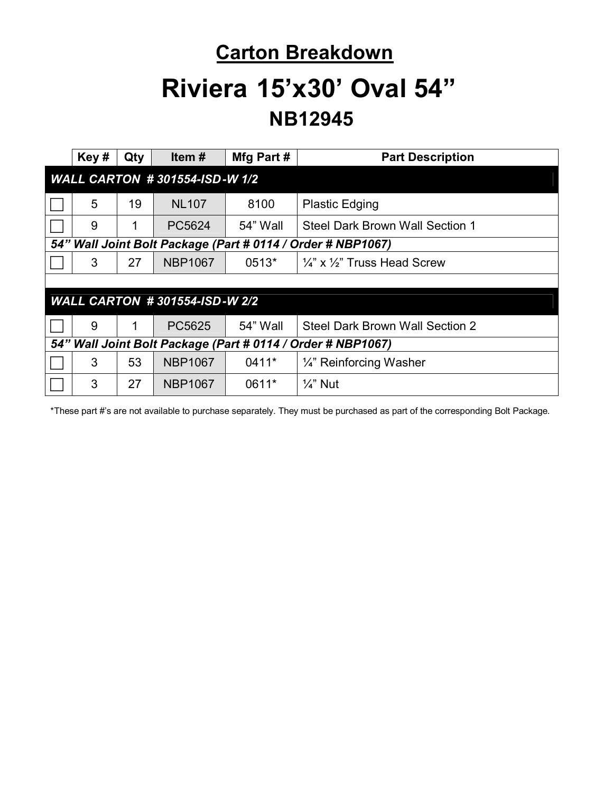## **Carton Breakdown Riviera 15'x30' Oval 54" NB12945**

|                                                             | Key#                                                        | Qty | Item#          | Mfg Part# | <b>Part Description</b>                            |
|-------------------------------------------------------------|-------------------------------------------------------------|-----|----------------|-----------|----------------------------------------------------|
| <b>WALL CARTON #301554-ISD-W 1/2</b>                        |                                                             |     |                |           |                                                    |
|                                                             | 5                                                           | 19  | <b>NL107</b>   | 8100      | <b>Plastic Edging</b>                              |
|                                                             | 9                                                           | 1   | PC5624         | 54" Wall  | Steel Dark Brown Wall Section 1                    |
|                                                             | 54" Wall Joint Bolt Package (Part # 0114 / Order # NBP1067) |     |                |           |                                                    |
|                                                             | 3                                                           | 27  | <b>NBP1067</b> | 0513*     | $\frac{1}{4}$ " x $\frac{1}{2}$ " Truss Head Screw |
|                                                             |                                                             |     |                |           |                                                    |
| <b>WALL CARTON #301554-ISD-W 2/2</b>                        |                                                             |     |                |           |                                                    |
|                                                             | 9                                                           | 1   | PC5625         | 54" Wall  | Steel Dark Brown Wall Section 2                    |
| 54" Wall Joint Bolt Package (Part # 0114 / Order # NBP1067) |                                                             |     |                |           |                                                    |
|                                                             | 3                                                           | 53  | <b>NBP1067</b> | 0411*     | 1/4" Reinforcing Washer                            |
|                                                             | 3                                                           | 27  | <b>NBP1067</b> | 0611*     | $\frac{1}{4}$ " Nut                                |

\*These part #'s are not available to purchase separately. They must be purchased as part of the corresponding Bolt Package.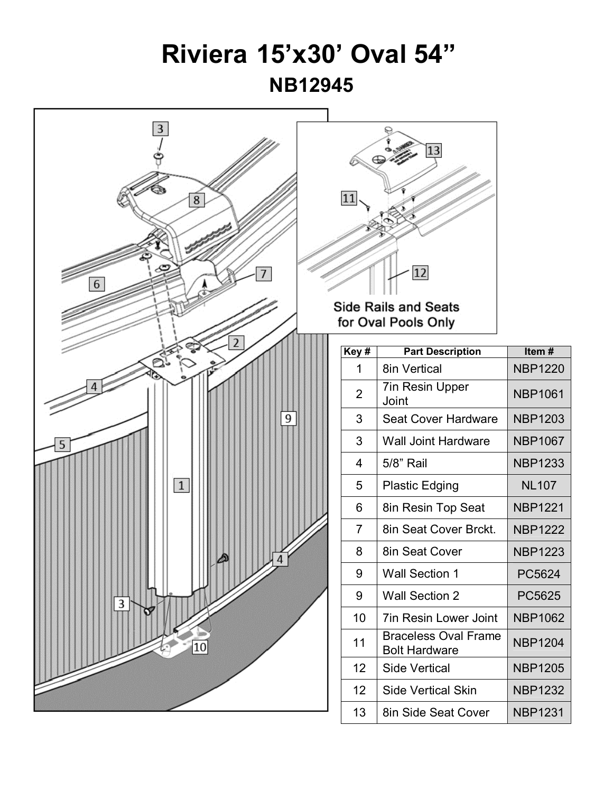### **Riviera 15'x30' Oval 54" NB12945**

**NBP1061**